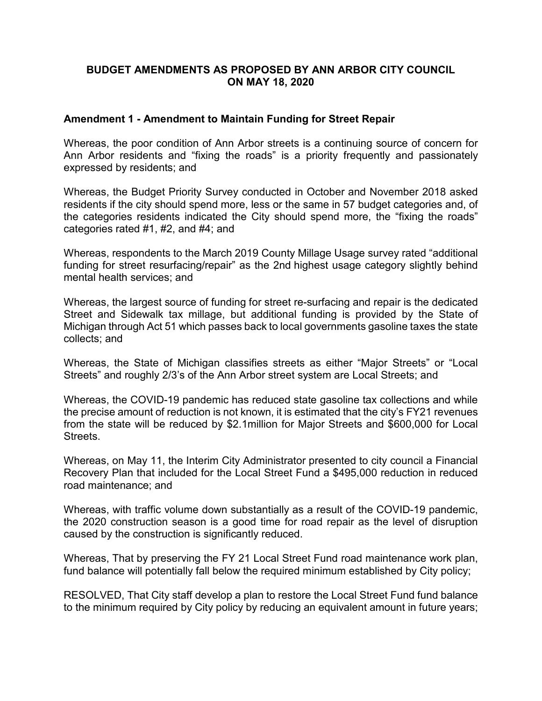# **BUDGET AMENDMENTS AS PROPOSED BY ANN ARBOR CITY COUNCIL ON MAY 18, 2020**

## **Amendment 1 - Amendment to Maintain Funding for Street Repair**

Whereas, the poor condition of Ann Arbor streets is a continuing source of concern for Ann Arbor residents and "fixing the roads" is a priority frequently and passionately expressed by residents; and

Whereas, the Budget Priority Survey conducted in October and November 2018 asked residents if the city should spend more, less or the same in 57 budget categories and, of the categories residents indicated the City should spend more, the "fixing the roads" categories rated #1, #2, and #4; and

Whereas, respondents to the March 2019 County Millage Usage survey rated "additional funding for street resurfacing/repair" as the 2nd highest usage category slightly behind mental health services; and

Whereas, the largest source of funding for street re-surfacing and repair is the dedicated Street and Sidewalk tax millage, but additional funding is provided by the State of Michigan through Act 51 which passes back to local governments gasoline taxes the state collects; and

Whereas, the State of Michigan classifies streets as either "Major Streets" or "Local Streets" and roughly 2/3's of the Ann Arbor street system are Local Streets; and

Whereas, the COVID-19 pandemic has reduced state gasoline tax collections and while the precise amount of reduction is not known, it is estimated that the city's FY21 revenues from the state will be reduced by \$2.1million for Major Streets and \$600,000 for Local Streets.

Whereas, on May 11, the Interim City Administrator presented to city council a Financial Recovery Plan that included for the Local Street Fund a \$495,000 reduction in reduced road maintenance; and

Whereas, with traffic volume down substantially as a result of the COVID-19 pandemic, the 2020 construction season is a good time for road repair as the level of disruption caused by the construction is significantly reduced.

Whereas, That by preserving the FY 21 Local Street Fund road maintenance work plan, fund balance will potentially fall below the required minimum established by City policy;

RESOLVED, That City staff develop a plan to restore the Local Street Fund fund balance to the minimum required by City policy by reducing an equivalent amount in future years;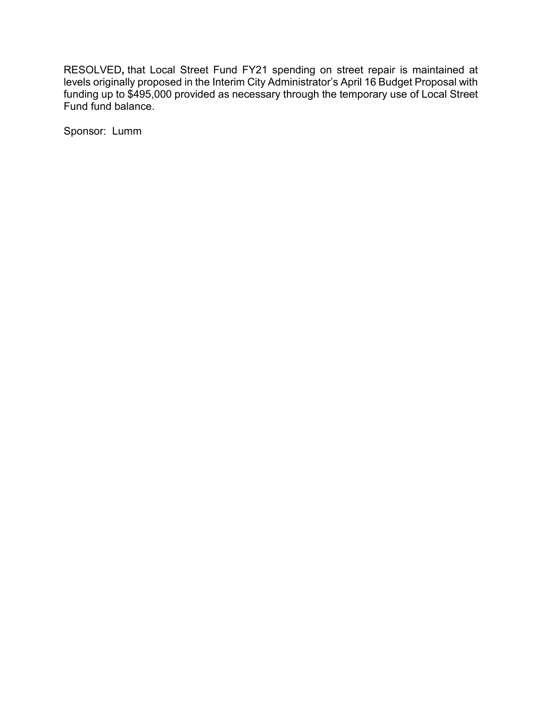RESOLVED**,** that Local Street Fund FY21 spending on street repair is maintained at levels originally proposed in the Interim City Administrator's April 16 Budget Proposal with funding up to \$495,000 provided as necessary through the temporary use of Local Street Fund fund balance.

Sponsor: Lumm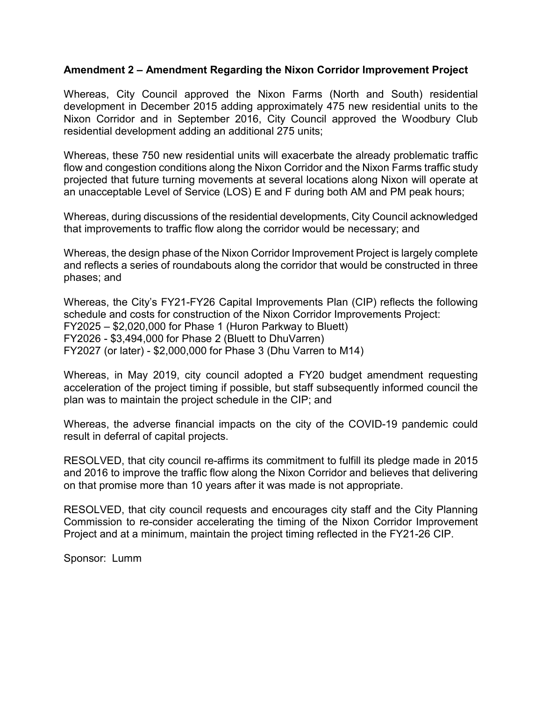#### **Amendment 2 – Amendment Regarding the Nixon Corridor Improvement Project**

Whereas, City Council approved the Nixon Farms (North and South) residential development in December 2015 adding approximately 475 new residential units to the Nixon Corridor and in September 2016, City Council approved the Woodbury Club residential development adding an additional 275 units;

Whereas, these 750 new residential units will exacerbate the already problematic traffic flow and congestion conditions along the Nixon Corridor and the Nixon Farms traffic study projected that future turning movements at several locations along Nixon will operate at an unacceptable Level of Service (LOS) E and F during both AM and PM peak hours;

Whereas, during discussions of the residential developments, City Council acknowledged that improvements to traffic flow along the corridor would be necessary; and

Whereas, the design phase of the Nixon Corridor Improvement Project is largely complete and reflects a series of roundabouts along the corridor that would be constructed in three phases; and

Whereas, the City's FY21-FY26 Capital Improvements Plan (CIP) reflects the following schedule and costs for construction of the Nixon Corridor Improvements Project: FY2025 – \$2,020,000 for Phase 1 (Huron Parkway to Bluett) FY2026 - \$3,494,000 for Phase 2 (Bluett to DhuVarren) FY2027 (or later) - \$2,000,000 for Phase 3 (Dhu Varren to M14)

Whereas, in May 2019, city council adopted a FY20 budget amendment requesting acceleration of the project timing if possible, but staff subsequently informed council the plan was to maintain the project schedule in the CIP; and

Whereas, the adverse financial impacts on the city of the COVID-19 pandemic could result in deferral of capital projects.

RESOLVED, that city council re-affirms its commitment to fulfill its pledge made in 2015 and 2016 to improve the traffic flow along the Nixon Corridor and believes that delivering on that promise more than 10 years after it was made is not appropriate.

RESOLVED, that city council requests and encourages city staff and the City Planning Commission to re-consider accelerating the timing of the Nixon Corridor Improvement Project and at a minimum, maintain the project timing reflected in the FY21-26 CIP.

Sponsor: Lumm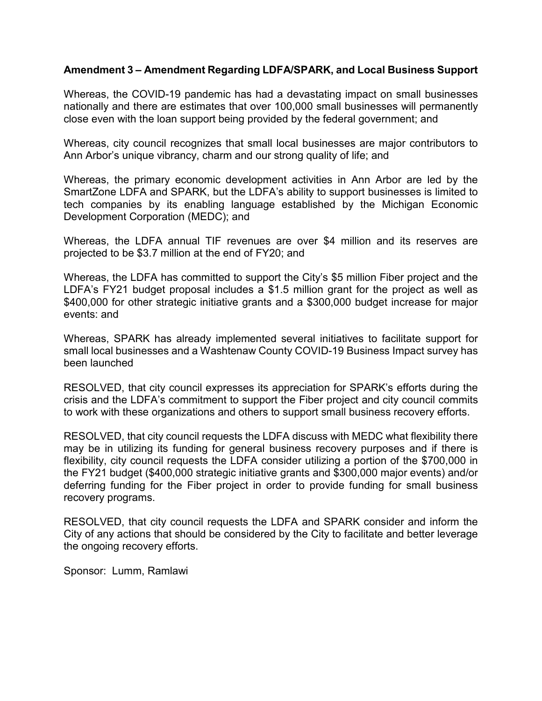### **Amendment 3 – Amendment Regarding LDFA/SPARK, and Local Business Support**

Whereas, the COVID-19 pandemic has had a devastating impact on small businesses nationally and there are estimates that over 100,000 small businesses will permanently close even with the loan support being provided by the federal government; and

Whereas, city council recognizes that small local businesses are major contributors to Ann Arbor's unique vibrancy, charm and our strong quality of life; and

Whereas, the primary economic development activities in Ann Arbor are led by the SmartZone LDFA and SPARK, but the LDFA's ability to support businesses is limited to tech companies by its enabling language established by the Michigan Economic Development Corporation (MEDC); and

Whereas, the LDFA annual TIF revenues are over \$4 million and its reserves are projected to be \$3.7 million at the end of FY20; and

Whereas, the LDFA has committed to support the City's \$5 million Fiber project and the LDFA's FY21 budget proposal includes a \$1.5 million grant for the project as well as \$400,000 for other strategic initiative grants and a \$300,000 budget increase for major events: and

Whereas, SPARK has already implemented several initiatives to facilitate support for small local businesses and a Washtenaw County COVID-19 Business Impact survey has been launched

RESOLVED, that city council expresses its appreciation for SPARK's efforts during the crisis and the LDFA's commitment to support the Fiber project and city council commits to work with these organizations and others to support small business recovery efforts.

RESOLVED, that city council requests the LDFA discuss with MEDC what flexibility there may be in utilizing its funding for general business recovery purposes and if there is flexibility, city council requests the LDFA consider utilizing a portion of the \$700,000 in the FY21 budget (\$400,000 strategic initiative grants and \$300,000 major events) and/or deferring funding for the Fiber project in order to provide funding for small business recovery programs.

RESOLVED, that city council requests the LDFA and SPARK consider and inform the City of any actions that should be considered by the City to facilitate and better leverage the ongoing recovery efforts.

Sponsor: Lumm, Ramlawi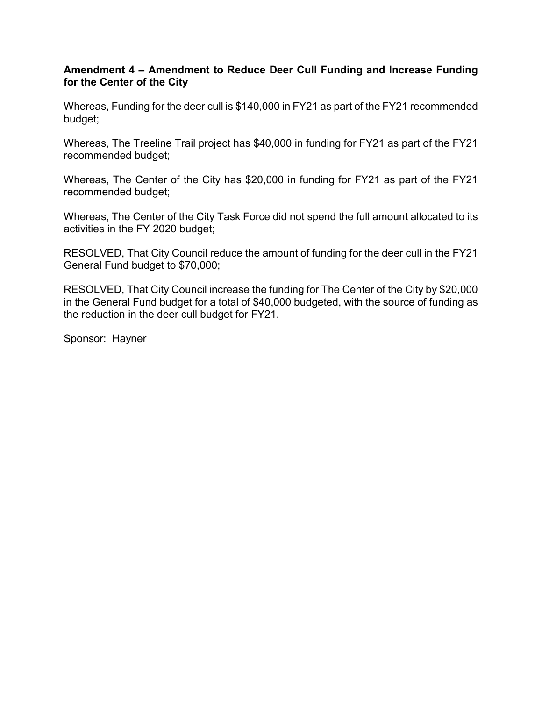# **Amendment 4 – Amendment to Reduce Deer Cull Funding and Increase Funding for the Center of the City**

Whereas, Funding for the deer cull is \$140,000 in FY21 as part of the FY21 recommended budget;

Whereas, The Treeline Trail project has \$40,000 in funding for FY21 as part of the FY21 recommended budget;

Whereas, The Center of the City has \$20,000 in funding for FY21 as part of the FY21 recommended budget;

Whereas, The Center of the City Task Force did not spend the full amount allocated to its activities in the FY 2020 budget;

RESOLVED, That City Council reduce the amount of funding for the deer cull in the FY21 General Fund budget to \$70,000;

RESOLVED, That City Council increase the funding for The Center of the City by \$20,000 in the General Fund budget for a total of \$40,000 budgeted, with the source of funding as the reduction in the deer cull budget for FY21.

Sponsor: Hayner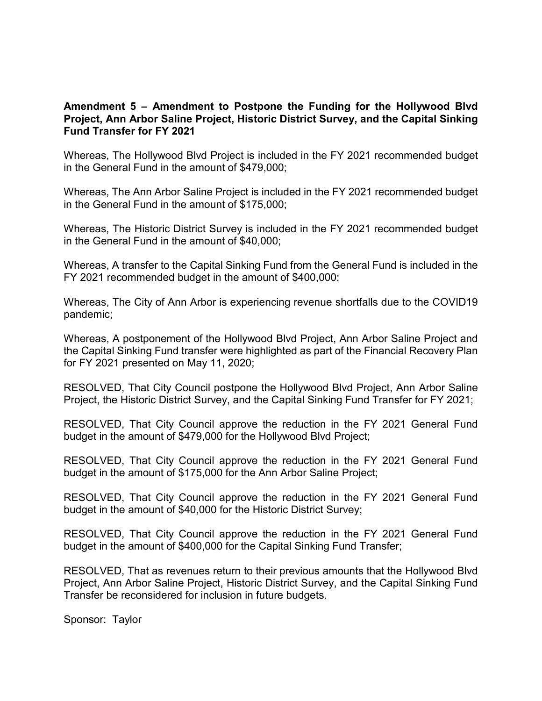## **Amendment 5 – Amendment to Postpone the Funding for the Hollywood Blvd Project, Ann Arbor Saline Project, Historic District Survey, and the Capital Sinking Fund Transfer for FY 2021**

Whereas, The Hollywood Blvd Project is included in the FY 2021 recommended budget in the General Fund in the amount of \$479,000;

Whereas, The Ann Arbor Saline Project is included in the FY 2021 recommended budget in the General Fund in the amount of \$175,000;

Whereas, The Historic District Survey is included in the FY 2021 recommended budget in the General Fund in the amount of \$40,000;

Whereas, A transfer to the Capital Sinking Fund from the General Fund is included in the FY 2021 recommended budget in the amount of \$400,000;

Whereas, The City of Ann Arbor is experiencing revenue shortfalls due to the COVID19 pandemic;

Whereas, A postponement of the Hollywood Blvd Project, Ann Arbor Saline Project and the Capital Sinking Fund transfer were highlighted as part of the Financial Recovery Plan for FY 2021 presented on May 11, 2020;

RESOLVED, That City Council postpone the Hollywood Blvd Project, Ann Arbor Saline Project, the Historic District Survey, and the Capital Sinking Fund Transfer for FY 2021;

RESOLVED, That City Council approve the reduction in the FY 2021 General Fund budget in the amount of \$479,000 for the Hollywood Blvd Project;

RESOLVED, That City Council approve the reduction in the FY 2021 General Fund budget in the amount of \$175,000 for the Ann Arbor Saline Project;

RESOLVED, That City Council approve the reduction in the FY 2021 General Fund budget in the amount of \$40,000 for the Historic District Survey;

RESOLVED, That City Council approve the reduction in the FY 2021 General Fund budget in the amount of \$400,000 for the Capital Sinking Fund Transfer;

RESOLVED, That as revenues return to their previous amounts that the Hollywood Blvd Project, Ann Arbor Saline Project, Historic District Survey, and the Capital Sinking Fund Transfer be reconsidered for inclusion in future budgets.

Sponsor: Taylor